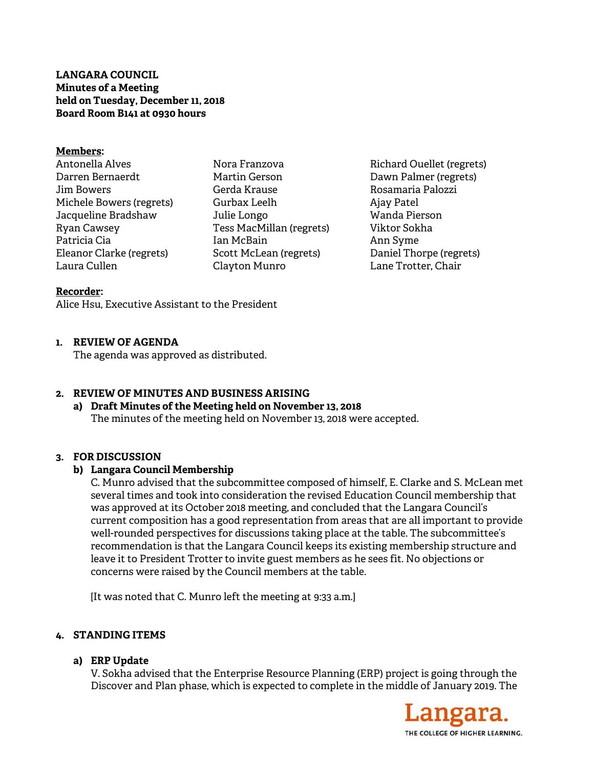**LANGARA COUNCIL Minutes of a Meeting held on Tuesday, December 11, 2018 Board Room B141 at 0930 hours** 

#### **Members:**

Antonella Alves Darren Bernaerdt Jim Bowers Michele Bowers (regrets) Jacqueline Bradshaw Ryan Cawsey Patricia Cia Eleanor Clarke (regrets) Laura Cullen

Nora Franzova Martin Gerson Gerda Krause Gurbax Leelh Julie Longo Tess MacMillan (regrets) Ian McBain Scott McLean (regrets) Clayton Munro

Richard Ouellet (regrets) Dawn Palmer (regrets) Rosamaria Palozzi Ajay Patel Wanda Pierson Viktor Sokha Ann Syme Daniel Thorpe (regrets) Lane Trotter, Chair

#### **Recorder:**

Alice Hsu, Executive Assistant to the President

### **1. REVIEW OF AGENDA**

The agenda was approved as distributed.

### **2. REVIEW OF MINUTES AND BUSINESS ARISING**

# **a) Draft Minutes of the Meeting held on November 13, 2018**  The minutes of the meeting held on November 13, 2018 were accepted.

### **3. FOR DISCUSSION**

### **b) Langara Council Membership**

C. Munro advised that the subcommittee composed of himself, E. Clarke and S. McLean met several times and took into consideration the revised Education Council membership that was approved at its October 2018 meeting, and concluded that the Langara Council's current composition has a good representation from areas that are all important to provide well-rounded perspectives for discussions taking place at the table. The subcommittee's recommendation is that the Langara Council keeps its existing membership structure and leave it to President Trotter to invite guest members as he sees fit. No objections or concerns were raised by the Council members at the table.

[It was noted that C. Munro left the meeting at 9:33 a.m.]

### **4. STANDING ITEMS**

### **a) ERP Update**

V. Sokha advised that the Enterprise Resource Planning (ERP) project is going through the Discover and Plan phase, which is expected to complete in the middle of January 2019. The

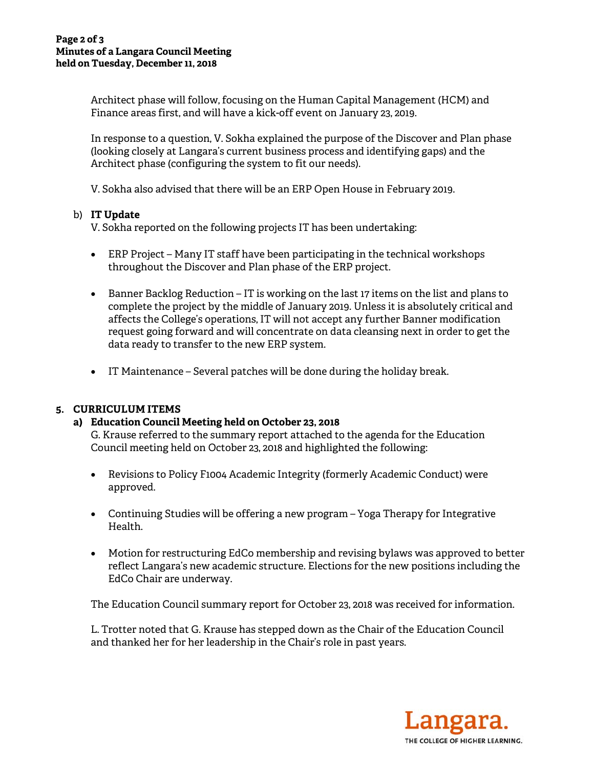Architect phase will follow, focusing on the Human Capital Management (HCM) and Finance areas first, and will have a kick-off event on January 23, 2019.

In response to a question, V. Sokha explained the purpose of the Discover and Plan phase (looking closely at Langara's current business process and identifying gaps) and the Architect phase (configuring the system to fit our needs).

V. Sokha also advised that there will be an ERP Open House in February 2019.

## b) **IT Update**

V. Sokha reported on the following projects IT has been undertaking:

- ERP Project Many IT staff have been participating in the technical workshops throughout the Discover and Plan phase of the ERP project.
- Banner Backlog Reduction IT is working on the last 17 items on the list and plans to complete the project by the middle of January 2019. Unless it is absolutely critical and affects the College's operations, IT will not accept any further Banner modification request going forward and will concentrate on data cleansing next in order to get the data ready to transfer to the new ERP system.
- IT Maintenance Several patches will be done during the holiday break.

# **5. CURRICULUM ITEMS**

# **a) Education Council Meeting held on October 23, 2018**

G. Krause referred to the summary report attached to the agenda for the Education Council meeting held on October 23, 2018 and highlighted the following:

- Revisions to Policy F1004 Academic Integrity (formerly Academic Conduct) were approved.
- Continuing Studies will be offering a new program Yoga Therapy for Integrative Health.
- Motion for restructuring EdCo membership and revising bylaws was approved to better reflect Langara's new academic structure. Elections for the new positions including the EdCo Chair are underway.

The Education Council summary report for October 23, 2018 was received for information.

L. Trotter noted that G. Krause has stepped down as the Chair of the Education Council and thanked her for her leadership in the Chair's role in past years.